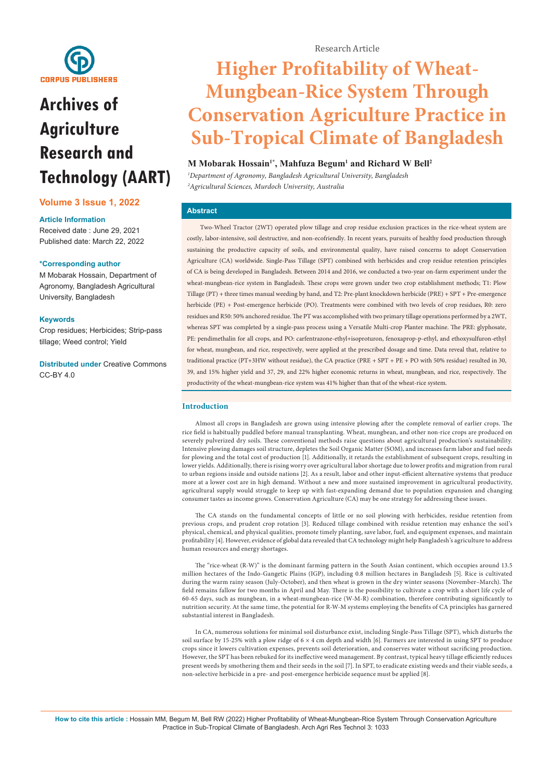

# **Archives of Agriculture Research and Technology (AART)**

# **Volume 3 Issue 1, 2022**

## **Article Information**

Received date : June 29, 2021 Published date: March 22, 2022

## **\*Corresponding author**

M Mobarak Hossain, Department of Agronomy, Bangladesh Agricultural University, Bangladesh

## **Keywords**

Crop residues; Herbicides; Strip-pass tillage; Weed control; Yield

**Distributed under** [Creative Commons](https://creativecommons.org/licenses/by/4.0/)  [CC-BY 4.0](https://creativecommons.org/licenses/by/4.0/)

Research Article

# **Higher Profitability of Wheat-Mungbean-Rice System Through Conservation Agriculture Practice in Sub-Tropical Climate of Bangladesh**

# **M Mobarak Hossain1\*, Mahfuza Begum1 and Richard W Bell2**

*1 Department of Agronomy, Bangladesh Agricultural University, Bangladesh 2 Agricultural Sciences, Murdoch University, Australia*

# **Abstract**

Two-Wheel Tractor (2WT) operated plow tillage and crop residue exclusion practices in the rice-wheat system are costly, labor-intensive, soil destructive, and non-ecofriendly. In recent years, pursuits of healthy food production through sustaining the productive capacity of soils, and environmental quality, have raised concerns to adopt Conservation Agriculture (CA) worldwide. Single-Pass Tillage (SPT) combined with herbicides and crop residue retention principles of CA is being developed in Bangladesh. Between 2014 and 2016, we conducted a two-year on-farm experiment under the wheat-mungbean-rice system in Bangladesh. These crops were grown under two crop establishment methods; T1: Plow Tillage (PT) + three times manual weeding by hand, and T2: Pre-plant knockdown herbicide (PRE) + SPT + Pre-emergence herbicide (PE) + Post-emergence herbicide (PO). Treatments were combined with two levels of crop residues, R0: zero residues and R50: 50% anchored residue. The PT was accomplished with two primary tillage operations performed by a 2WT, whereas SPT was completed by a single-pass process using a Versatile Multi-crop Planter machine. The PRE: glyphosate, PE: pendimethalin for all crops, and PO: carfentrazone-ethyl+isoproturon, fenoxaprop-p-ethyl, and ethoxysulfuron-ethyl for wheat, mungbean, and rice, respectively, were applied at the prescribed dosage and time. Data reveal that, relative to traditional practice (PT+3HW without residue), the CA practice (PRE + SPT + PE + PO with 50% residue) resulted in 30, 39, and 15% higher yield and 37, 29, and 22% higher economic returns in wheat, mungbean, and rice, respectively. The productivity of the wheat-mungbean-rice system was 41% higher than that of the wheat-rice system.

## **Introduction**

Almost all crops in Bangladesh are grown using intensive plowing after the complete removal of earlier crops. The rice field is habitually puddled before manual transplanting. Wheat, mungbean, and other non-rice crops are produced on severely pulverized dry soils. These conventional methods raise questions about agricultural production's sustainability. Intensive plowing damages soil structure, depletes the Soil Organic Matter (SOM), and increases farm labor and fuel needs for plowing and the total cost of production [1]. Additionally, it retards the establishment of subsequent crops, resulting in lower yields. Additionally, there is rising worry over agricultural labor shortage due to lower profits and migration from rural to urban regions inside and outside nations [2]. As a result, labor and other input-efficient alternative systems that produce more at a lower cost are in high demand. Without a new and more sustained improvement in agricultural productivity, agricultural supply would struggle to keep up with fast-expanding demand due to population expansion and changing consumer tastes as income grows. Conservation Agriculture (CA) may be one strategy for addressing these issues.

The CA stands on the fundamental concepts of little or no soil plowing with herbicides, residue retention from previous crops, and prudent crop rotation [3]. Reduced tillage combined with residue retention may enhance the soil's physical, chemical, and physical qualities, promote timely planting, save labor, fuel, and equipment expenses, and maintain profitability [4]. However, evidence of global data revealed that CA technology might help Bangladesh's agriculture to address human resources and energy shortages.

The "rice-wheat (R-W)" is the dominant farming pattern in the South Asian continent, which occupies around 13.5 million hectares of the Indo-Gangetic Plains (IGP), including 0.8 million hectares in Bangladesh [5]. Rice is cultivated during the warm rainy season (July-October), and then wheat is grown in the dry winter seasons (November–March). The field remains fallow for two months in April and May. There is the possibility to cultivate a crop with a short life cycle of 60-65 days, such as mungbean, in a wheat-mungbean-rice (W-M-R) combination, therefore contributing significantly to nutrition security. At the same time, the potential for R-W-M systems employing the benefits of CA principles has garnered substantial interest in Bangladesh.

In CA, numerous solutions for minimal soil disturbance exist, including Single-Pass Tillage (SPT), which disturbs the soil surface by 15-25% with a plow ridge of  $6 \times 4$  cm depth and width [6]. Farmers are interested in using SPT to produce crops since it lowers cultivation expenses, prevents soil deterioration, and conserves water without sacrificing production. However, the SPT has been rebuked for its ineffective weed management. By contrast, typical heavy tillage efficiently reduces present weeds by smothering them and their seeds in the soil [7]. In SPT, to eradicate existing weeds and their viable seeds, a non-selective herbicide in a pre- and post-emergence herbicide sequence must be applied [8].

**How to cite this article :** Hossain MM, Begum M, Bell RW (2022) Higher Profitability of Wheat-Mungbean-Rice System Through Conservation Agriculture Practice in Sub-Tropical Climate of Bangladesh. Arch Agri Res Technol 3: 1033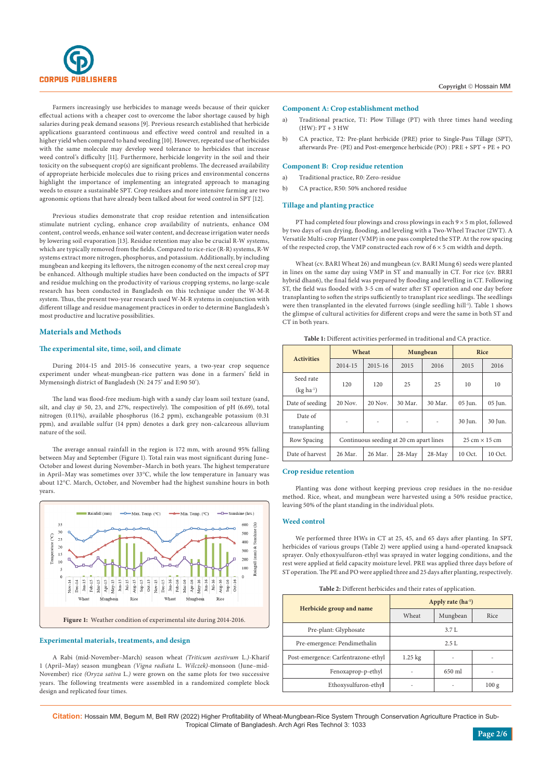

Farmers increasingly use herbicides to manage weeds because of their quicker effectual actions with a cheaper cost to overcome the labor shortage caused by high salaries during peak demand seasons [9]. Previous research established that herbicide applications guaranteed continuous and effective weed control and resulted in a higher yield when compared to hand weeding [10]. However, repeated use of herbicides with the same molecule may develop weed tolerance to herbicides that increase weed control's difficulty [11]. Furthermore, herbicide longevity in the soil and their toxicity on the subsequent crop(s) are significant problems. The decreased availability of appropriate herbicide molecules due to rising prices and environmental concerns highlight the importance of implementing an integrated approach to managing weeds to ensure a sustainable SPT. Crop residues and more intensive farming are two agronomic options that have already been talked about for weed control in SPT [12].

Previous studies demonstrate that crop residue retention and intensification stimulate nutrient cycling, enhance crop availability of nutrients, enhance OM content, control weeds, enhance soil water content, and decrease irrigation water needs by lowering soil evaporation [13]. Residue retention may also be crucial R-W systems, which are typically removed from the fields. Compared to rice-rice (R-R) systems, R-W systems extract more nitrogen, phosphorus, and potassium. Additionally, by including mungbean and keeping its leftovers, the nitrogen economy of the next cereal crop may be enhanced. Although multiple studies have been conducted on the impacts of SPT and residue mulching on the productivity of various cropping systems, no large-scale research has been conducted in Bangladesh on this technique under the W-M-R system. Thus, the present two-year research used W-M-R systems in conjunction with different tillage and residue management practices in order to determine Bangladesh's most productive and lucrative possibilities.

## **Materials and Methods**

## **The experimental site, time, soil, and climate**

During 2014-15 and 2015-16 consecutive years, a two-year crop sequence experiment under wheat-mungbean-rice pattern was done in a farmers' field in Mymensingh district of Bangladesh (N: 24 75' and E:90 50').

The land was flood-free medium-high with a sandy clay loam soil texture (sand, silt, and clay @ 50, 23, and 27%, respectively). The composition of pH (6.69), total nitrogen (0.11%), available phosphorus (16.2 ppm), exchangeable potassium (0.31 ppm), and available sulfur (14 ppm) denotes a dark grey non-calcareous alluvium nature of the soil.

The average annual rainfall in the region is 172 mm, with around 95% falling between May and September (Figure 1). Total rain was most significant during June– October and lowest during November–March in both years. The highest temperature in April–May was sometimes over 33°C, while the low temperature in January was about 12°C. March, October, and November had the highest sunshine hours in both years.



#### **Experimental materials, treatments, and design**

A Rabi (mid-November–March) season wheat *(Triticum aestivum* L*.)*-Kharif 1 (April–May) season mungbean *(Vigna radiata* L*. Wilczek)*-monsoon (June–mid-November) rice *(Oryza sativa* L*.)* were grown on the same plots for two successive years. The following treatments were assembled in a randomized complete block design and replicated four times.

#### **Component A: Crop establishment method**

- a) Traditional practice, T1: Plow Tillage (PT) with three times hand weeding  $(HW): PT + 3 HW$
- b) CA practice, T2: Pre-plant herbicide (PRE) prior to Single-Pass Tillage (SPT), afterwards Pre- (PE) and Post-emergence herbicide (PO) : PRE + SPT + PE + PO

### **Component B: Crop residue retention**

- a) Traditional practice, R0: Zero-residue
- b) CA practice, R50: 50% anchored residue

## **Tillage and planting practice**

PT had completed four plowings and cross plowings in each  $9 \times 5$  m plot, followed by two days of sun drying, flooding, and leveling with a Two-Wheel Tractor (2WT). A Versatile Multi-crop Planter (VMP) in one pass completed the STP. At the row spacing of the respected crop, the VMP constructed each row of  $6 \times 5$  cm width and depth.

Wheat (cv. BARI Wheat 26) and mungbean (cv. BARI Mung 6) seeds were planted in lines on the same day using VMP in ST and manually in CT. For rice (cv. BRRI hybrid dhan6), the final field was prepared by flooding and levelling in CT. Following ST, the field was flooded with 3-5 cm of water after ST operation and one day before transplanting to soften the strips sufficiently to transplant rice seedlings. The seedlings were then transplanted in the elevated furrows (single seedling hill<sup>1</sup>). Table 1 shows the glimpse of cultural activities for different crops and were the same in both ST and CT in both years.

| <b>Activities</b>        | Wheat                                   |                                      |          | Mungbean | <b>Rice</b> |         |
|--------------------------|-----------------------------------------|--------------------------------------|----------|----------|-------------|---------|
|                          | $2014 - 15$                             | $2015 - 16$                          | 2015     | 2016     | 2015        | 2016    |
| Seed rate<br>$(kg ha-1)$ | 120                                     | 120                                  | 25       | 25       | 10          | 10      |
| Date of seeding          | 20 Nov.                                 | 20 Nov.                              | 30 Mar.  | 30 Mar.  | 05 Jun.     | 05 Jun. |
| Date of<br>transplanting |                                         |                                      | ٠        |          | 30 Jun.     | 30 Jun. |
| Row Spacing              | Continuous seeding at 20 cm apart lines | $25 \text{ cm} \times 15 \text{ cm}$ |          |          |             |         |
| Date of harvest          | 26 Mar.                                 | 26 Mar.                              | $28-May$ | $28-May$ | 10 Oct.     | 10 Oct. |

## **Table 1:** Different activities performed in traditional and CA practice.

## **Crop residue retention**

Planting was done without keeping previous crop residues in the no-residue method. Rice, wheat, and mungbean were harvested using a 50% residue practice, leaving 50% of the plant standing in the individual plots.

#### **Weed control**

We performed three HWs in CT at 25, 45, and 65 days after planting. In SPT, herbicides of various groups (Table 2) were applied using a hand-operated knapsack sprayer. Only ethoxysulfuron-ethyl was sprayed in water logging conditions, and the rest were applied at field capacity moisture level. PRE was applied three days before of ST operation. The PE and PO were applied three and 25 days after planting, respectively.

**Table 2:** Different herbicides and their rates of application.

|                                     | Apply rate $(ha^{-1})$ |      |       |  |  |  |
|-------------------------------------|------------------------|------|-------|--|--|--|
| Herbicide group and name            | Wheat                  | Rice |       |  |  |  |
| Pre-plant: Glyphosate               | 3.7 L                  |      |       |  |  |  |
| Pre-emergence: Pendimethalin        | 2.5L                   |      |       |  |  |  |
| Post-emergence: Carfentrazone-ethyl | $1.25 \text{ kg}$      |      |       |  |  |  |
| Fenoxaprop-p-ethyl                  | 650 ml                 |      |       |  |  |  |
| Ethoxysulfuron-ethyl                |                        |      | 100 g |  |  |  |

**Citation:** Hossain MM, Begum M, Bell RW (2022) Higher Profitability of Wheat-Mungbean-Rice System Through Conservation Agriculture Practice in Sub-Tropical Climate of Bangladesh. Arch Agri Res Technol 3: 1033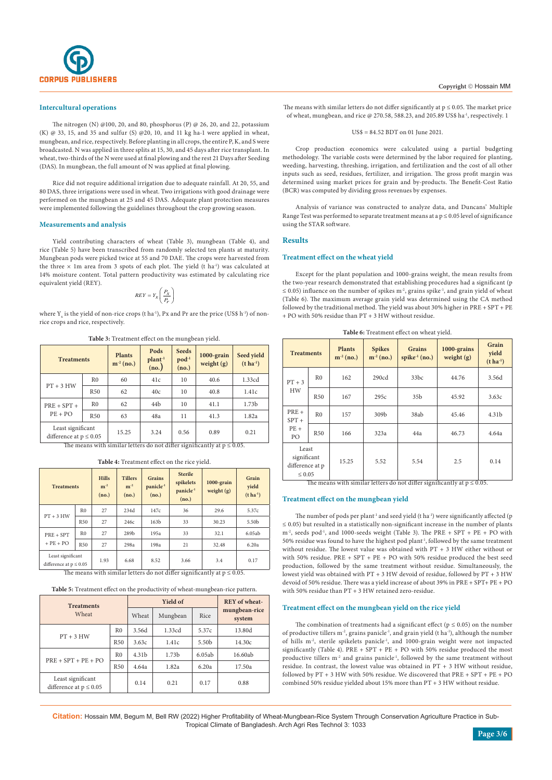

#### **Intercultural operations**

The nitrogen (N) @100, 20, and 80, phosphorus (P) @ 26, 20, and 22, potassium (K)  $@$  33, 15, and 35 and sulfur (S)  $@$  20, 10, and 11 kg ha-1 were applied in wheat, mungbean, and rice, respectively. Before planting in all crops, the entire P, K, and S were broadcasted. N was applied in three splits at 15, 30, and 45 days after rice transplant. In wheat, two-thirds of the N were used at final plowing and the rest 21 Days after Seeding (DAS). In mungbean, the full amount of N was applied at final plowing.

Rice did not require additional irrigation due to adequate rainfall. At 20, 55, and 80 DAS, three irrigations were used in wheat. Two irrigations with good drainage were performed on the mungbean at 25 and 45 DAS. Adequate plant protection measures were implemented following the guidelines throughout the crop growing season.

#### **Measurements and analysis**

Yield contributing characters of wheat (Table 3), mungbean (Table 4), and rice (Table 5) have been transcribed from randomly selected ten plants at maturity. Mungbean pods were picked twice at 55 and 70 DAE. The crops were harvested from the three  $\times$  1m area from 3 spots of each plot. The yield (t ha<sup>-1</sup>) was calculated at 14% moisture content. Total pattern productivity was estimated by calculating rice equivalent yield (REY).

$$
REF=Y_{X}\left(\frac{P_{X}}{P_{r}}\right)
$$

where  $Y_x$  is the yield of non-rice crops (t ha<sup>-1</sup>), Px and Pr are the price (US\$ h<sup>-1</sup>) of nonrice crops and rice, respectively.

**Table 3:** Treatment effect on the mungbean yield.

| <b>Treatments</b>                                |                | <b>Plants</b><br>$m-2$ (no.)                      | Pods<br>plant <sup>1</sup><br>(no.) | <b>Seeds</b><br>$pod^{-1}$<br>(no.) | 1000-grain<br>weight $(g)$                                                                                                                                                                                                                                                                                                  | Seed yield<br>$(t \, ha^{-1})$ |
|--------------------------------------------------|----------------|---------------------------------------------------|-------------------------------------|-------------------------------------|-----------------------------------------------------------------------------------------------------------------------------------------------------------------------------------------------------------------------------------------------------------------------------------------------------------------------------|--------------------------------|
|                                                  | R <sub>0</sub> | 60                                                | 41c                                 | 10                                  | 40.6                                                                                                                                                                                                                                                                                                                        | 1.33cd                         |
| $PT + 3 HW$                                      | <b>R50</b>     | 62                                                | 40c                                 | 10                                  | 40.8                                                                                                                                                                                                                                                                                                                        | 1.41c                          |
| $PRE + SPT +$                                    | R <sub>0</sub> | 62                                                | 44 <sub>b</sub>                     | 10                                  | 41.1                                                                                                                                                                                                                                                                                                                        | 1.73 <sub>b</sub>              |
| $PE + PO$                                        | <b>R50</b>     | 63                                                | 48a                                 | 11                                  | 41.3                                                                                                                                                                                                                                                                                                                        | 1.82a                          |
| Least significant<br>difference at $p \leq 0.05$ |                | 15.25<br>$\overline{\phantom{iiiiiiiiiiiiiiiii}}$ | 3.24<br><b>STATISTICS</b>           | 0.56                                | 0.89<br>$\frac{1}{2}$ $\frac{1}{2}$ $\frac{1}{2}$ $\frac{1}{2}$ $\frac{1}{2}$ $\frac{1}{2}$ $\frac{1}{2}$ $\frac{1}{2}$ $\frac{1}{2}$ $\frac{1}{2}$ $\frac{1}{2}$ $\frac{1}{2}$ $\frac{1}{2}$ $\frac{1}{2}$ $\frac{1}{2}$ $\frac{1}{2}$ $\frac{1}{2}$ $\frac{1}{2}$ $\frac{1}{2}$ $\frac{1}{2}$ $\frac{1}{2}$ $\frac{1}{2}$ | 0.21                           |

The means with similar letters do not differ significantly at  $p \le 0.05$ .

| <b>Treatments</b>                                |                | <b>Hills</b><br>$m^{-2}$<br>(no.) | <b>Tillers</b><br>$m^{-2}$<br>(no.) | <b>Grains</b><br>panicle <sup>-1</sup><br>(no.) | <b>Sterile</b><br>spikelets<br>panicle <sup>-1</sup><br>(no.) | $1000$ -grain<br>weight $(g)$                                                                    | Grain<br>yield<br>$(t ha-1)$ |
|--------------------------------------------------|----------------|-----------------------------------|-------------------------------------|-------------------------------------------------|---------------------------------------------------------------|--------------------------------------------------------------------------------------------------|------------------------------|
| $PT + 3 HW$                                      | R <sub>0</sub> | 234d<br>27<br>147c                |                                     | 36                                              | 29.6                                                          | 5.37c                                                                                            |                              |
|                                                  | <b>R50</b>     | 27                                | 246с                                | 163 <sub>b</sub>                                | 33                                                            | 30.23                                                                                            | 5.50b                        |
| $PRE + SPT$                                      | R <sub>0</sub> | 27                                | 289 <sub>b</sub>                    | 195a                                            | 33                                                            | 32.1                                                                                             | 6.05ab                       |
| $+$ PE $+$ PO                                    | <b>R50</b>     | 27                                | 298a                                | 198a                                            | 21                                                            | 32.48                                                                                            | 6.20a                        |
| Least significant<br>difference at $p \leq 0.05$ |                | 1.93                              | 6.68                                | 8.52                                            | 3.66                                                          | 3.4<br>The corresponding starting of attacks in a set of the starting function $\epsilon > 0.05$ | 0.17                         |

**Table 4:** Treatment effect on the rice yield.

The means with similar letters do not differ significantly at  $p \le 0.05$ .

**Table 5:** Treatment effect on the productivity of wheat-mungbean-rice pattern.

| <b>Treatments</b>                                |                | <b>Yield of</b>   | <b>REY</b> of wheat- |                         |         |
|--------------------------------------------------|----------------|-------------------|----------------------|-------------------------|---------|
| Wheat                                            | Wheat          | Mungbean          | Rice                 | mungbean-rice<br>system |         |
| $PT + 3 HW$                                      | R <sub>0</sub> | 3.56d             | 1.33cd               | 5.37c                   | 13.80d  |
|                                                  | <b>R50</b>     | 3.63c             | 1.41c                | 5.50 <sub>b</sub>       | 14.30c  |
| $PRE + SPT + PE + PO$                            | R <sub>0</sub> | 4.31 <sub>b</sub> | 1.73 <sub>b</sub>    | 6.05ab                  | 16.60ab |
|                                                  | <b>R50</b>     | 4.64a             | 1.82a                | 6.20a                   | 17.50a  |
| Least significant<br>difference at $p \leq 0.05$ |                | 0.14              | 0.21                 | 0.17                    | 0.88    |

The means with similar letters do not differ significantly at  $p \le 0.05$ . The market price of wheat, mungbean, and rice @ 270.58, 588.23, and 205.89 US\$ ha<sup>-1</sup>, respectively. 1

#### US\$ = 84.52 BDT on 01 June 2021.

Crop production economics were calculated using a partial budgeting methodology. The variable costs were determined by the labor required for planting, weeding, harvesting, threshing, irrigation, and fertilization and the cost of all other inputs such as seed, residues, fertilizer, and irrigation. The gross profit margin was determined using market prices for grain and by-products. The Benefit-Cost Ratio (BCR) was computed by dividing gross revenues by expenses.

Analysis of variance was constructed to analyze data, and Duncans' Multiple Range Test was performed to separate treatment means at a  $p \le 0.05$  level of significance using the STAR software.

#### **Results**

#### **Treatment effect on the wheat yield**

Except for the plant population and 1000-grains weight, the mean results from the two-year research demonstrated that establishing procedures had a significant (p  $\leq$  0.05) influence on the number of spikes m<sup>2</sup>, grains spike<sup>-1</sup>, and grain yield of wheat (Table 6). The maximum average grain yield was determined using the CA method followed by the traditional method. The yield was about 30% higher in PRE + SPT + PE + PO with 50% residue than PT + 3 HW without residue.

| <b>Treatments</b>                                      |                | <b>Plants</b><br>$m^{-2}$ (no.) | <b>Spikes</b><br>$m^{-2} (no.)$ | <b>Grains</b><br>spike $(no.)$ | 1000-grains<br>weight $(g)$ | Grain<br>yield<br>$(t ha-1)$ |
|--------------------------------------------------------|----------------|---------------------------------|---------------------------------|--------------------------------|-----------------------------|------------------------------|
| $PT + 3$                                               | R <sub>0</sub> | 162                             | 290cd                           | 33bc                           | 44.76                       | 3.56d                        |
| HW                                                     | <b>R50</b>     | 167                             | 295c                            | 35 <sub>b</sub>                | 45.92                       | 3.63c                        |
| $PRE +$<br>$SPT +$<br>$PE+$<br>PO                      | R <sub>0</sub> | 157                             | 309b                            | 38ab                           | 45.46                       | 4.31 <sub>b</sub>            |
|                                                        | <b>R50</b>     | 166                             | 323a                            | 44a                            | 46.73                       | 4.64a                        |
| Least<br>significant<br>difference at p<br>$\leq 0.05$ |                | 15.25                           | 5.52                            | 5.54                           | 2.5                         | 0.14                         |

The means with similar letters do not differ significantly at  $p \le 0.05$ .

#### **Treatment effect on the mungbean yield**

The number of pods per plant<sup>1</sup> and seed yield (t ha<sup>-1</sup>) were significantly affected (p ≤ 0.05) but resulted in a statistically non-significant increase in the number of plants  $m<sup>2</sup>$ , seeds pod<sup>-1</sup>, and 1000-seeds weight (Table 3). The PRE + SPT + PE + PO with 50% residue was found to have the highest pod plant<sup>1</sup>, followed by the same treatment without residue. The lowest value was obtained with PT + 3 HW either without or with 50% residue. PRE + SPT + PE + PO with 50% residue produced the best seed production, followed by the same treatment without residue. Simultaneously, the lowest yield was obtained with  $PT + 3 HW$  devoid of residue, followed by  $PT + 3 HW$ devoid of 50% residue. There was a yield increase of about 39% in PRE + SPT+ PE + PO with 50% residue than PT + 3 HW retained zero-residue.

#### **Treatment effect on the mungbean yield on the rice yield**

The combination of treatments had a significant effect ( $p \le 0.05$ ) on the number of productive tillers  $\mathrm{m}^2,$  grains panicle<sup>-1</sup>, and grain yield (t ha<sup>-1</sup>), although the number of hills m<sup>-2</sup>, sterile spikelets panicle<sup>-1</sup>, and 1000-grain weight were not impacted significantly (Table 4). PRE + SPT + PE + PO with 50% residue produced the most productive tillers m<sup>-2</sup> and grains panicle<sup>-1</sup>, followed by the same treatment without residue. In contrast, the lowest value was obtained in PT + 3 HW without residue, followed by  $PT + 3 HW$  with 50% residue. We discovered that  $PRE + SPT + PE + PO$ combined 50% residue yielded about 15% more than PT + 3 HW without residue.

**Citation:** Hossain MM, Begum M, Bell RW (2022) Higher Profitability of Wheat-Mungbean-Rice System Through Conservation Agriculture Practice in Sub-Tropical Climate of Bangladesh. Arch Agri Res Technol 3: 1033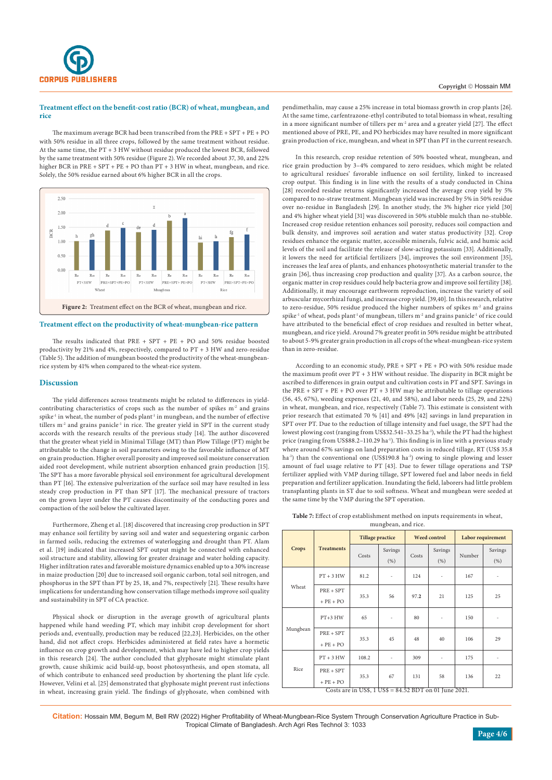

## **Treatment effect on the benefit-cost ratio (BCR) of wheat, mungbean, and rice**

The maximum average BCR had been transcribed from the PRE + SPT + PE + PO with 50% residue in all three crops, followed by the same treatment without residue. At the same time, the PT + 3 HW without residue produced the lowest BCR, followed by the same treatment with 50% residue (Figure 2). We recorded about 37, 30, and 22% higher BCR in PRE + SPT + PE + PO than PT + 3 HW in wheat, mungbean, and rice. Solely, the 50% residue earned about 6% higher BCR in all the crops.



#### **Treatment effect on the productivity of wheat-mungbean-rice pattern**

The results indicated that PRE + SPT + PE + PO and 50% residue boosted productivity by 21% and 4%, respectively, compared to PT + 3 HW and zero-residue (Table 5). The addition of mungbean boosted the productivity of the wheat-mungbeanrice system by 41% when compared to the wheat-rice system.

#### **Discussion**

The yield differences across treatments might be related to differences in yieldcontributing characteristics of crops such as the number of spikes m<sup>-2</sup> and grains spike<sup>-1</sup> in wheat, the number of pods plant<sup>-1</sup> in mungbean, and the number of effective tillers  $m^2$  and grains panicle<sup>-1</sup> in rice. The greater yield in SPT in the current study accords with the research results of the previous study [14]. The author discovered that the greater wheat yield in Minimal Tillage (MT) than Plow Tillage (PT) might be attributable to the change in soil parameters owing to the favorable influence of MT on grain production. Higher overall porosity and improved soil moisture conservation aided root development, while nutrient absorption enhanced grain production [15]. The SPT has a more favorable physical soil environment for agricultural development than PT [16]. The extensive pulverization of the surface soil may have resulted in less steady crop production in PT than SPT [17]. The mechanical pressure of tractors on the grown layer under the PT causes discontinuity of the conducting pores and compaction of the soil below the cultivated layer.

Furthermore, Zheng et al. [18] discovered that increasing crop production in SPT may enhance soil fertility by saving soil and water and sequestering organic carbon in farmed soils, reducing the extremes of waterlogging and drought than PT. Alam et al. [19] indicated that increased SPT output might be connected with enhanced soil structure and stability, allowing for greater drainage and water holding capacity. Higher infiltration rates and favorable moisture dynamics enabled up to a 30% increase in maize production [20] due to increased soil organic carbon, total soil nitrogen, and phosphorus in the SPT than PT by 25, 18, and 7%, respectively [21]. These results have implications for understanding how conservation tillage methods improve soil quality and sustainability in SPT of CA practice.

Physical shock or disruption in the average growth of agricultural plants happened while hand weeding PT, which may inhibit crop development for short periods and, eventually, production may be reduced [22,23]. Herbicides, on the other hand, did not affect crops. Herbicides administered at field rates have a hormetic influence on crop growth and development, which may have led to higher crop yields in this research [24]. The author concluded that glyphosate might stimulate plant growth, cause shikimic acid build-up, boost photosynthesis, and open stomata, all of which contribute to enhanced seed production by shortening the plant life cycle. However, Velini et al. [25] demonstrated that glyphosate might prevent rust infections in wheat, increasing grain yield. The findings of glyphosate, when combined with pendimethalin, may cause a 25% increase in total biomass growth in crop plants [26]. At the same time, carfentrazone-ethyl contributed to total biomass in wheat, resulting in a more significant number of tillers per m<sup>-2</sup> area and a greater yield [27]. The effect mentioned above of PRE, PE, and PO herbicides may have resulted in more significant grain production of rice, mungbean, and wheat in SPT than PT in the current research.

In this research, crop residue retention of 50% boosted wheat, mungbean, and rice grain production by 3–4% compared to zero residues, which might be related to agricultural residues' favorable influence on soil fertility, linked to increased crop output. This finding is in line with the results of a study conducted in China [28] recorded residue returns significantly increased the average crop yield by 5% compared to no-straw treatment. Mungbean yield was increased by 5% in 50% residue over no-residue in Bangladesh [29]. In another study, the 3% higher rice yield [30] and 4% higher wheat yield [31] was discovered in 50% stubble mulch than no-stubble. Increased crop residue retention enhances soil porosity, reduces soil compaction and bulk density, and improves soil aeration and water status productivity [32]. Crop residues enhance the organic matter, accessible minerals, fulvic acid, and humic acid levels of the soil and facilitate the release of slow-acting potassium [33]. Additionally, it lowers the need for artificial fertilizers [34], improves the soil environment [35], increases the leaf area of plants, and enhances photosynthetic material transfer to the grain [36], thus increasing crop production and quality [37]. As a carbon source, the organic matter in crop residues could help bacteria grow and improve soil fertility [38]. Additionally, it may encourage earthworm reproduction, increase the variety of soil arbuscular mycorrhizal fungi, and increase crop yield. [39,40]. In this research, relative to zero-residue, 50% residue produced the higher numbers of spikes m<sup>-2</sup> and grains  $\text{spike}^1$  of wheat, pods plant $^1$  of mungbean, tillers  $\text{m}^2$  and grains panicle $^1$  of rice could have attributed to the beneficial effect of crop residues and resulted in better wheat, mungbean, and rice yield. Around 7% greater profit in 50% residue might be attributed to about 5-9% greater grain production in all crops of the wheat-mungbean-rice system than in zero-residue.

According to an economic study, PRE + SPT + PE + PO with 50% residue made the maximum profit over PT + 3 HW without residue. The disparity in BCR might be ascribed to differences in grain output and cultivation costs in PT and SPT. Savings in the PRE + SPT + PE + PO over PT + 3 HW may be attributable to tillage operations (56, 45, 67%), weeding expenses (21, 40, and 58%), and labor needs (25, 29, and 22%) in wheat, mungbean, and rice, respectively (Table 7). This estimate is consistent with prior research that estimated 70 % [41] and 49% [42] savings in land preparation in SPT over PT. Due to the reduction of tillage intensity and fuel usage, the SPT had the lowest plowing cost (ranging from US\$32.541-33.25 ha<sup>-1</sup>), while the PT had the highest price (ranging from US\$88.2-110.29 ha<sup>-1</sup>). This finding is in line with a previous study where around 67% savings on land preparation costs in reduced tillage, RT (US\$ 35.8 ha<sup>-1</sup>) than the conventional one (US\$190.8 ha<sup>-1</sup>) owing to single plowing and lesser amount of fuel usage relative to PT [43]. Due to fewer tillage operations and TSP fertilizer applied with VMP during tillage, SPT lowered fuel and labor needs in field preparation and fertilizer application. Inundating the field, laborers had little problem transplanting plants in ST due to soil softness. Wheat and mungbean were seeded at the same time by the VMP during the SPT operation.

| mungbean, and rice.<br>Tillage practice<br>Weed control I abor requirement |  |  |  |  |  |  |  |
|----------------------------------------------------------------------------|--|--|--|--|--|--|--|

|              |                                                          | <b>Tillage practice</b> |                 | <b>Weed control</b> |                          | Labor requirement |                |  |  |
|--------------|----------------------------------------------------------|-------------------------|-----------------|---------------------|--------------------------|-------------------|----------------|--|--|
| <b>Crops</b> | <b>Treatments</b>                                        | Costs                   | Savings<br>(% ) | Costs               | Savings<br>(% )          | Number            | Savings<br>(%) |  |  |
| Wheat        | $PT + 3 HW$                                              | 81.2                    | $\overline{a}$  | 124                 | $\overline{\phantom{m}}$ | 167               | ÷              |  |  |
|              | $PRE + SPT$<br>$+$ PE $+$ PO                             | 35.3                    | 56              | 97.2                | 21                       | 125               | 25             |  |  |
| Mungbean     | $PT+3$ HW                                                | 65                      |                 | 80                  |                          | 150               |                |  |  |
|              | $PRE + SPT$<br>$+$ PE $+$ PO                             | 35.3                    | 45              | 48                  | 40                       | 106               | 29             |  |  |
| Rice         | $PT + 3 HW$                                              | 108.2                   |                 | 309                 |                          | 175               |                |  |  |
|              | $PRE + SPT$<br>$+$ PE $+$ PO                             | 35.3                    | 67              | 131                 | 58                       | 136               | 22             |  |  |
|              | Costs are in US\$, $1$ US\$ = 84.52 BDT on 01 June 2021. |                         |                 |                     |                          |                   |                |  |  |

**Citation:** Hossain MM, Begum M, Bell RW (2022) Higher Profitability of Wheat-Mungbean-Rice System Through Conservation Agriculture Practice in Sub-Tropical Climate of Bangladesh. Arch Agri Res Technol 3: 1033

 $\blacksquare$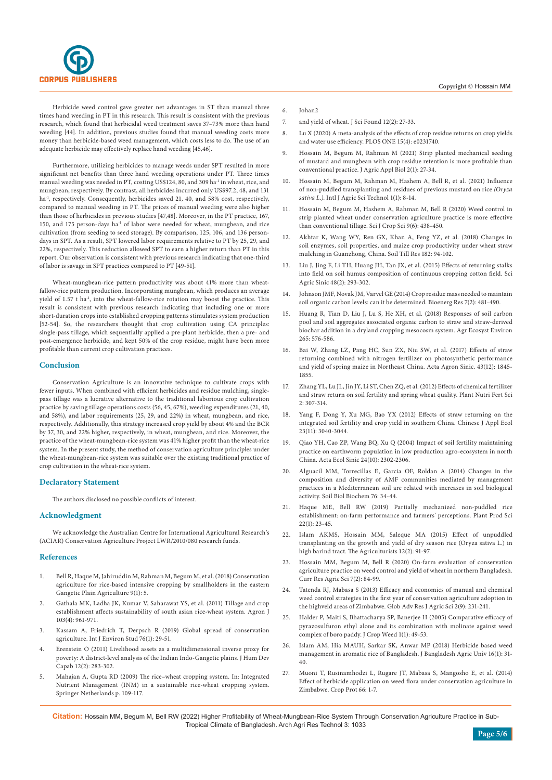

Herbicide weed control gave greater net advantages in ST than manual three times hand weeding in PT in this research. This result is consistent with the previous research, which found that herbicidal weed treatment saves 37–73% more than hand weeding [44]. In addition, previous studies found that manual weeding costs more money than herbicide-based weed management, which costs less to do. The use of an adequate herbicide may effectively replace hand weeding [45,46].

Furthermore, utilizing herbicides to manage weeds under SPT resulted in more significant net benefits than three hand weeding operations under PT. Three times manual weeding was needed in PT, costing US\$124, 80, and 309  $\mathrm{ha}^\text{-1}$  in wheat, rice, and mungbean, respectively. By contrast, all herbicides incurred only US\$97.2, 48, and 131 ha<sup>-1</sup>, respectively. Consequently, herbicides saved 21, 40, and 58% cost, respectively, compared to manual weeding in PT. The prices of manual weeding were also higher than those of herbicides in previous studies [47,48]. Moreover, in the PT practice, 167, 150, and 175 person-days ha<sup>-1</sup> of labor were needed for wheat, mungbean, and rice cultivation (from seeding to seed storage). By comparison, 125, 106, and 136 persondays in SPT. As a result, SPT lowered labor requirements relative to PT by 25, 29, and 22%, respectively. This reduction allowed SPT to earn a higher return than PT in this report. Our observation is consistent with previous research indicating that one-third of labor is savage in SPT practices compared to PT [49-51].

Wheat-mungbean-rice pattern productivity was about 41% more than wheatfallow-rice pattern production. Incorporating mungbean, which produces an average yield of 1.57 t ha<sup>-1</sup>, into the wheat-fallow-rice rotation may boost the practice. This result is consistent with previous research indicating that including one or more short-duration crops into established cropping patterns stimulates system production [52-54]. So, the researchers thought that crop cultivation using CA principles: single-pass tillage, which sequentially applied a pre-plant herbicide, then a pre- and post-emergence herbicide, and kept 50% of the crop residue, might have been more profitable than current crop cultivation practices.

#### **Conclusion**

Conservation Agriculture is an innovative technique to cultivate crops with fewer inputs. When combined with efficient herbicides and residue mulching, singlepass tillage was a lucrative alternative to the traditional laborious crop cultivation practice by saving tillage operations costs (56, 45, 67%), weeding expenditures (21, 40, and 58%), and labor requirements (25, 29, and 22%) in wheat, mungbean, and rice, respectively. Additionally, this strategy increased crop yield by about 4% and the BCR by 37, 30, and 22% higher, respectively, in wheat, mungbean, and rice. Moreover, the practice of the wheat-mungbean-rice system was 41% higher profit than the wheat-rice system. In the present study, the method of conservation agriculture principles under the wheat-mungbean-rice system was suitable over the existing traditional practice of crop cultivation in the wheat-rice system.

## **Declaratory Statement**

The authors disclosed no possible conflicts of interest.

#### **Acknowledgment**

We acknowledge the Australian Centre for International Agricultural Research's (ACIAR) Conservation Agriculture Project LWR/2010/080 research funds.

#### **References**

- 1. Bell R, Haque M, Jahiruddin M, Rahman M, Begum M, et al. (2018) Conservation agriculture for rice-based intensive cropping by smallholders in the eastern Gangetic Plain Agriculture 9(1): 5.
- 2. [Gathala MK, Ladha JK, Kumar V, Saharawat YS, et al. \(2011\) Tillage and crop](https://acsess.onlinelibrary.wiley.com/doi/abs/10.2134/agronj2010.0394)  [establishment affects sustainability of south asian rice-wheat system. Agron J](https://acsess.onlinelibrary.wiley.com/doi/abs/10.2134/agronj2010.0394)  [103\(4\): 961-971.](https://acsess.onlinelibrary.wiley.com/doi/abs/10.2134/agronj2010.0394)
- 3. [Kassam A, Friedrich T, Derpsch R \(2019\) Global spread of conservation](https://www.tandfonline.com/doi/abs/10.1080/00207233.2018.1494927?journalCode=genv20)  [agriculture. Int J Environ Stud 76\(1\): 29-51.](https://www.tandfonline.com/doi/abs/10.1080/00207233.2018.1494927?journalCode=genv20)
- 4. [Erenstein O \(2011\) Livelihood assets as a multidimensional inverse proxy for](https://www.tandfonline.com/doi/abs/10.1080/19452829.2011.571094)  [poverty: A district-level analysis of the Indian Indo-Gangetic plains. J Hum Dev](https://www.tandfonline.com/doi/abs/10.1080/19452829.2011.571094)  [Capab 12\(2\): 283-302.](https://www.tandfonline.com/doi/abs/10.1080/19452829.2011.571094)
- 5. Mahajan A, Gupta RD (2009) The rice–wheat cropping system. In: Integrated Nutrient Management (INM) in a sustainable rice-wheat cropping system. Springer Netherlands p. 109-117.

#### 6. [Johan2](https://www.sciencedirect.com/science/article/abs/pii/S0378429011004138)

- 7. and yield of wheat. J Sci Found 12(2): 27-33.
- 8. [Lu X \(2020\) A meta-analysis of the effects of crop residue returns on crop yields](https://journals.plos.org/plosone/article?id=10.1371/journal.pone.0231740)  [and water use efficiency. PLOS ONE 15\(4\): e0231740.](https://journals.plos.org/plosone/article?id=10.1371/journal.pone.0231740)
- 9. [Hossain M, Begum M, Rahman M \(2021\) Strip planted mechanical seeding](https://jaabjournal.org/index.php/jaab/article/view/109)  [of mustard and mungbean with crop residue retention is more profitable than](https://jaabjournal.org/index.php/jaab/article/view/109)  [conventional practice. J Agric Appl Biol 2\(1\): 27-34.](https://jaabjournal.org/index.php/jaab/article/view/109)
- 10. [Hossain M, Begum M, Rahman M, Hashem A, Bell R, et al. \(2021\) Influence](https://www.svedbergopen.com/files/1614972329_(2)_IJAGST07122020MTN006_(p_8-14).pdf)  [of non-puddled transplanting and residues of previous mustard on rice](https://www.svedbergopen.com/files/1614972329_(2)_IJAGST07122020MTN006_(p_8-14).pdf) *(Oryza sativa L.)*[. Intl J Agric Sci Technol 1\(1\): 8-14.](https://www.svedbergopen.com/files/1614972329_(2)_IJAGST07122020MTN006_(p_8-14).pdf)
- 11. [Hossain M, Begum M, Hashem A, Rahman M, Bell R \(2020\) Weed control in](http://sjournals.com/index.php/sjcs/article/view/1593)  [strip planted wheat under conservation agriculture practice is more effective](http://sjournals.com/index.php/sjcs/article/view/1593)  [than conventional tillage. Sci J Crop Sci 9\(6\): 438-450.](http://sjournals.com/index.php/sjcs/article/view/1593)
- 12. [Akhtar K, Wang WY, Ren GX, Khan A, Feng YZ, et al. \(2018\) Changes in](https://www.sciencedirect.com/science/article/pii/S0167198718304665)  [soil enzymes, soil properties, and maize crop productivity under wheat straw](https://www.sciencedirect.com/science/article/pii/S0167198718304665)  [mulching in Guanzhong, China. Soil Till Res 182: 94-102.](https://www.sciencedirect.com/science/article/pii/S0167198718304665)
- 13. Liu J, Jing F, Li TH, Huang JH, Tan JX, et al. (2015) Effects of returning stalks into field on soil humus composition of continuous cropping cotton field. Sci Agric Sinic 48(2): 293-302.
- 14. [Johnson JMF, Novak JM, Varvel GE \(2014\) Crop residue mass needed to maintain](https://www.ars.usda.gov/ARSUserFiles/60820500/Manuscripts/2014/Man942.pdf)  [soil organic carbon levels: can it be determined. Bioenerg Res 7\(2\): 481-490.](https://www.ars.usda.gov/ARSUserFiles/60820500/Manuscripts/2014/Man942.pdf)
- 15. [Huang R, Tian D, Liu J, Lu S, He XH, et al. \(2018\) Responses of soil carbon](https://www.sciencedirect.com/science/article/abs/pii/S0167880918302901)  [pool and soil aggregates associated organic carbon to straw and straw-derived](https://www.sciencedirect.com/science/article/abs/pii/S0167880918302901)  [biochar addition in a dryland cropping mesocosm system. Agr Ecosyst Environ](https://www.sciencedirect.com/science/article/abs/pii/S0167880918302901)  [265: 576-586.](https://www.sciencedirect.com/science/article/abs/pii/S0167880918302901)
- 16. [Bai W, Zhang LZ, Pang HC, Sun ZX, Niu SW, et al. \(2017\) Effects of straw](https://www.cabdirect.org/cabdirect/abstract/20183024597)  [returning combined with nitrogen fertilizer on photosynthetic performance](https://www.cabdirect.org/cabdirect/abstract/20183024597)  [and yield of spring maize in Northeast China. Acta Agron Sinic. 43\(12\): 1845-](https://www.cabdirect.org/cabdirect/abstract/20183024597) [1855.](https://www.cabdirect.org/cabdirect/abstract/20183024597)
- 17. [Zhang YL, Lu JL, Jin JY, Li ST, Chen ZQ, et al. \(2012\) Effects of chemical fertilizer](http://en.cnki.com.cn/Article_en/CJFDTOTAL-ZWYF201202008.htm)  [and straw return on soil fertility and spring wheat quality. Plant Nutri Fert Sci](http://en.cnki.com.cn/Article_en/CJFDTOTAL-ZWYF201202008.htm)  [2: 307-314.](http://en.cnki.com.cn/Article_en/CJFDTOTAL-ZWYF201202008.htm)
- 18. [Yang F, Dong Y, Xu MG, Bao YX \(2012\) Effects of straw returning on the](https://pubmed.ncbi.nlm.nih.gov/23431788/)  [integrated soil fertility and crop yield in southern China. Chinese J Appl Ecol](https://pubmed.ncbi.nlm.nih.gov/23431788/)  [23\(11\): 3040-3044.](https://pubmed.ncbi.nlm.nih.gov/23431788/)
- 19. Qiao YH, Cao ZP, Wang BQ, Xu Q (2004) Impact of soil fertility maintaining practice on earthworm population in low production agro-ecosystem in north China. Acta Ecol Sinic 24(10): 2302-2306.
- 20. [Alguacil MM, Torrecillas E, Garcia OF, Roldan A \(2014\) Changes in the](https://www.sciencedirect.com/science/article/abs/pii/S003807171400162X)  [composition and diversity of AMF communities mediated by management](https://www.sciencedirect.com/science/article/abs/pii/S003807171400162X)  [practices in a Mediterranean soil are related with increases in soil biological](https://www.sciencedirect.com/science/article/abs/pii/S003807171400162X)  [activity. Soil Biol Biochem 76: 34-44.](https://www.sciencedirect.com/science/article/abs/pii/S003807171400162X)
- 21. [Haque ME, Bell RW \(2019\) Partially mechanized non-puddled rice](https://www.tandfonline.com/doi/full/10.1080/1343943X.2018.1564335)  [establishment: on-farm performance and farmers' perceptions. Plant Prod Sci](https://www.tandfonline.com/doi/full/10.1080/1343943X.2018.1564335)  [22\(1\): 23-45.](https://www.tandfonline.com/doi/full/10.1080/1343943X.2018.1564335)
- 22. [Islam AKMS, Hossain MM, Saleque MA \(2015\) Effect of unpuddled](https://www.banglajol.info/index.php/AGRIC/article/view/21736)  [transplanting on the growth and yield of dry season rice \(Oryza sativa L.\) in](https://www.banglajol.info/index.php/AGRIC/article/view/21736)  [high barind tract. The Agriculturists 12\(2\): 91-97.](https://www.banglajol.info/index.php/AGRIC/article/view/21736)
- 23. Hossain MM, Begum M, Bell R (2020) On-farm evaluation of conservation agriculture practice on weed control and yield of wheat in northern Bangladesh. Curr Res Agric Sci 7(2): 84-99.
- 24. [Tatenda RJ, Mabasa S \(2013\) Efficacy and economics of manual and chemical](http://garj.org/garjas/9/2013/2/9/efficacy-and-economics-of-manual-and-chemical-weed-control-strategies-in-the-first-year-of-conservation-agriculture-adoption-in-the-highveld-areas-of-zimbabwe)  [weed control strategies in the first year of conservation agriculture adoption in](http://garj.org/garjas/9/2013/2/9/efficacy-and-economics-of-manual-and-chemical-weed-control-strategies-in-the-first-year-of-conservation-agriculture-adoption-in-the-highveld-areas-of-zimbabwe)  [the highveld areas of Zimbabwe. Glob Adv Res J Agric Sci 2\(9\): 231-241.](http://garj.org/garjas/9/2013/2/9/efficacy-and-economics-of-manual-and-chemical-weed-control-strategies-in-the-first-year-of-conservation-agriculture-adoption-in-the-highveld-areas-of-zimbabwe)
- 25. [Halder P, Maiti S, Bhattacharya SP, Banerjee H \(2005\) Comparative efficacy of](https://www.cropandweed.com/vol1Issue1/pdf2005/13.pdf)  [pyrazosulfuron ethyl alone and its combination with molinate against weed](https://www.cropandweed.com/vol1Issue1/pdf2005/13.pdf)  [complex of boro paddy. J Crop Weed 1\(1\): 49-53.](https://www.cropandweed.com/vol1Issue1/pdf2005/13.pdf)
- 26. [Islam AM, Hia MAUH, Sarkar SK, Anwar MP \(2018\) Herbicide based weed](https://www.banglajol.info/index.php/JBAU/article/view/36478)  [management in aromatic rice of Bangladesh. J Bangladesh Agric Univ 16\(1\): 31-](https://www.banglajol.info/index.php/JBAU/article/view/36478) [40.](https://www.banglajol.info/index.php/JBAU/article/view/36478)
- 27. [Muoni T, Rusinamhodzi L, Rugare JT, Mabasa S, Mangosho E, et al. \(2014\)](https://www.infona.pl/resource/bwmeta1.element.elsevier-76ced81f-7d98-3bae-9729-153c7fe1c5da)  [Effect of herbicide application on weed flora under conservation agriculture in](https://www.infona.pl/resource/bwmeta1.element.elsevier-76ced81f-7d98-3bae-9729-153c7fe1c5da)  [Zimbabwe. Crop Prot 66: 1-7.](https://www.infona.pl/resource/bwmeta1.element.elsevier-76ced81f-7d98-3bae-9729-153c7fe1c5da)

**Citation:** Hossain MM, Begum M, Bell RW (2022) Higher Profitability of Wheat-Mungbean-Rice System Through Conservation Agriculture Practice in Sub-Tropical Climate of Bangladesh. Arch Agri Res Technol 3: 1033